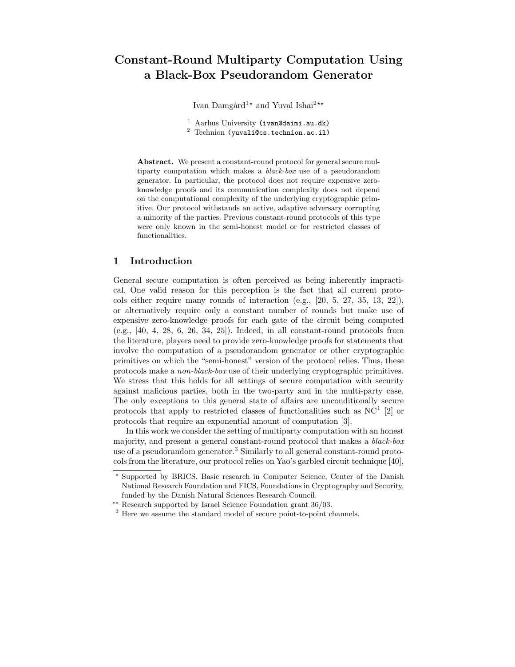# Constant-Round Multiparty Computation Using a Black-Box Pseudorandom Generator

Ivan Damgård<sup>1\*</sup> and Yuval Ishai<sup>2\*\*</sup>

<sup>1</sup> Aarhus University (ivan@daimi.au.dk)

<sup>2</sup> Technion (yuvali@cs.technion.ac.il)

Abstract. We present a constant-round protocol for general secure multiparty computation which makes a black-box use of a pseudorandom generator. In particular, the protocol does not require expensive zeroknowledge proofs and its communication complexity does not depend on the computational complexity of the underlying cryptographic primitive. Our protocol withstands an active, adaptive adversary corrupting a minority of the parties. Previous constant-round protocols of this type were only known in the semi-honest model or for restricted classes of functionalities.

## 1 Introduction

General secure computation is often perceived as being inherently impractical. One valid reason for this perception is the fact that all current protocols either require many rounds of interaction (e.g., [20, 5, 27, 35, 13, 22]), or alternatively require only a constant number of rounds but make use of expensive zero-knowledge proofs for each gate of the circuit being computed (e.g., [40, 4, 28, 6, 26, 34, 25]). Indeed, in all constant-round protocols from the literature, players need to provide zero-knowledge proofs for statements that involve the computation of a pseudorandom generator or other cryptographic primitives on which the "semi-honest" version of the protocol relies. Thus, these protocols make a non-black-box use of their underlying cryptographic primitives. We stress that this holds for all settings of secure computation with security against malicious parties, both in the two-party and in the multi-party case. The only exceptions to this general state of affairs are unconditionally secure protocols that apply to restricted classes of functionalities such as  $NC<sup>1</sup>$  [2] or protocols that require an exponential amount of computation [3].

In this work we consider the setting of multiparty computation with an honest majority, and present a general constant-round protocol that makes a black-box use of a pseudorandom generator.<sup>3</sup> Similarly to all general constant-round protocols from the literature, our protocol relies on Yao's garbled circuit technique [40],

<sup>?</sup> Supported by BRICS, Basic research in Computer Science, Center of the Danish National Research Foundation and FICS, Foundations in Cryptography and Security, funded by the Danish Natural Sciences Research Council.

<sup>\*\*</sup> Research supported by Israel Science Foundation grant  $36/03$ .

<sup>&</sup>lt;sup>3</sup> Here we assume the standard model of secure point-to-point channels.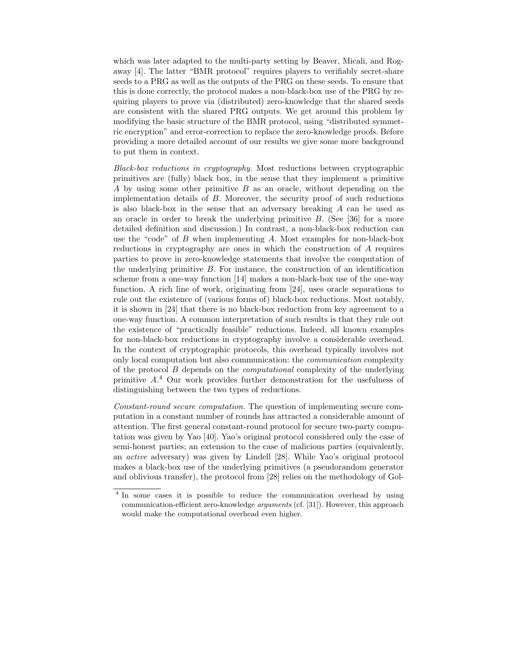which was later adapted to the multi-party setting by Beaver, Micali, and Rogaway [4]. The latter "BMR protocol" requires players to verifiably secret-share seeds to a PRG as well as the outputs of the PRG on these seeds. To ensure that this is done correctly, the protocol makes a non-black-box use of the PRG by requiring players to prove via (distributed) zero-knowledge that the shared seeds are consistent with the shared PRG outputs. We get around this problem by modifying the basic structure of the BMR protocol, using "distributed symmetric encryption" and error-correction to replace the zero-knowledge proofs. Before providing a more detailed account of our results we give some more background to put them in context.

Black-box reductions in cryptography. Most reductions between cryptographic primitives are (fully) black box, in the sense that they implement a primitive A by using some other primitive  $B$  as an oracle, without depending on the implementation details of B. Moreover, the security proof of such reductions is also black-box in the sense that an adversary breaking A can be used as an oracle in order to break the underlying primitive  $B$ . (See [36] for a more detailed definition and discussion.) In contrast, a non-black-box reduction can use the "code" of B when implementing A. Most examples for non-black-box reductions in cryptography are ones in which the construction of A requires parties to prove in zero-knowledge statements that involve the computation of the underlying primitive  $B$ . For instance, the construction of an identification scheme from a one-way function [14] makes a non-black-box use of the one-way function. A rich line of work, originating from [24], uses oracle separations to rule out the existence of (various forms of) black-box reductions. Most notably, it is shown in [24] that there is no black-box reduction from key agreement to a one-way function. A common interpretation of such results is that they rule out the existence of "practically feasible" reductions. Indeed, all known examples for non-black-box reductions in cryptography involve a considerable overhead. In the context of cryptographic protocols, this overhead typically involves not only local computation but also communication: the communication complexity of the protocol B depends on the computational complexity of the underlying primitive A. <sup>4</sup> Our work provides further demonstration for the usefulness of distinguishing between the two types of reductions.

Constant-round secure computation. The question of implementing secure computation in a constant number of rounds has attracted a considerable amount of attention. The first general constant-round protocol for secure two-party computation was given by Yao [40]. Yao's original protocol considered only the case of semi-honest parties; an extension to the case of malicious parties (equivalently, an active adversary) was given by Lindell [28]. While Yao's original protocol makes a black-box use of the underlying primitives (a pseudorandom generator and oblivious transfer), the protocol from [28] relies on the methodology of Gol-

<sup>&</sup>lt;sup>4</sup> In some cases it is possible to reduce the communication overhead by using communication-efficient zero-knowledge arguments (cf. [31]). However, this approach would make the computational overhead even higher.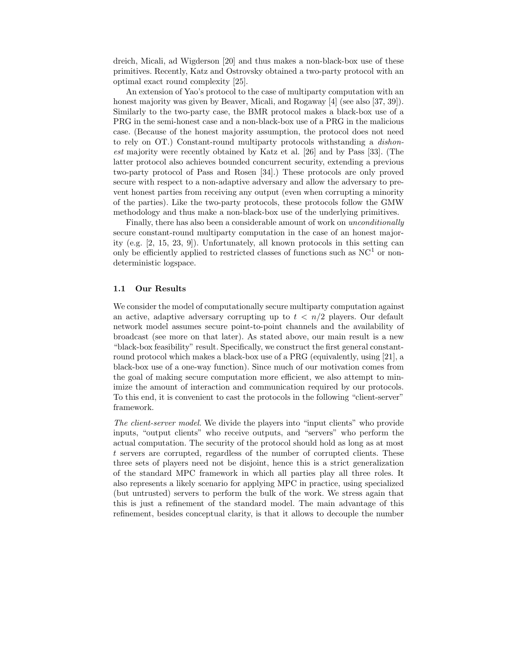dreich, Micali, ad Wigderson [20] and thus makes a non-black-box use of these primitives. Recently, Katz and Ostrovsky obtained a two-party protocol with an optimal exact round complexity [25].

An extension of Yao's protocol to the case of multiparty computation with an honest majority was given by Beaver, Micali, and Rogaway [4] (see also [37, 39]). Similarly to the two-party case, the BMR protocol makes a black-box use of a PRG in the semi-honest case and a non-black-box use of a PRG in the malicious case. (Because of the honest majority assumption, the protocol does not need to rely on OT.) Constant-round multiparty protocols withstanding a dishonest majority were recently obtained by Katz et al. [26] and by Pass [33]. (The latter protocol also achieves bounded concurrent security, extending a previous two-party protocol of Pass and Rosen [34].) These protocols are only proved secure with respect to a non-adaptive adversary and allow the adversary to prevent honest parties from receiving any output (even when corrupting a minority of the parties). Like the two-party protocols, these protocols follow the GMW methodology and thus make a non-black-box use of the underlying primitives.

Finally, there has also been a considerable amount of work on unconditionally secure constant-round multiparty computation in the case of an honest majority (e.g. [2, 15, 23, 9]). Unfortunately, all known protocols in this setting can only be efficiently applied to restricted classes of functions such as  $NC<sup>1</sup>$  or nondeterministic logspace.

#### 1.1 Our Results

We consider the model of computationally secure multiparty computation against an active, adaptive adversary corrupting up to  $t < n/2$  players. Our default network model assumes secure point-to-point channels and the availability of broadcast (see more on that later). As stated above, our main result is a new "black-box feasibility" result. Specifically, we construct the first general constantround protocol which makes a black-box use of a PRG (equivalently, using [21], a black-box use of a one-way function). Since much of our motivation comes from the goal of making secure computation more efficient, we also attempt to minimize the amount of interaction and communication required by our protocols. To this end, it is convenient to cast the protocols in the following "client-server" framework.

The client-server model. We divide the players into "input clients" who provide inputs, "output clients" who receive outputs, and "servers" who perform the actual computation. The security of the protocol should hold as long as at most t servers are corrupted, regardless of the number of corrupted clients. These three sets of players need not be disjoint, hence this is a strict generalization of the standard MPC framework in which all parties play all three roles. It also represents a likely scenario for applying MPC in practice, using specialized (but untrusted) servers to perform the bulk of the work. We stress again that this is just a refinement of the standard model. The main advantage of this refinement, besides conceptual clarity, is that it allows to decouple the number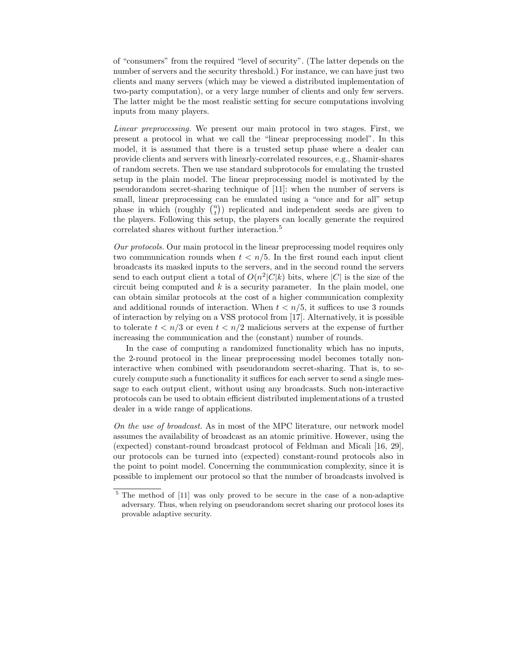of "consumers" from the required "level of security". (The latter depends on the number of servers and the security threshold.) For instance, we can have just two clients and many servers (which may be viewed a distributed implementation of two-party computation), or a very large number of clients and only few servers. The latter might be the most realistic setting for secure computations involving inputs from many players.

Linear preprocessing. We present our main protocol in two stages. First, we present a protocol in what we call the "linear preprocessing model". In this model, it is assumed that there is a trusted setup phase where a dealer can provide clients and servers with linearly-correlated resources, e.g., Shamir-shares of random secrets. Then we use standard subprotocols for emulating the trusted setup in the plain model. The linear preprocessing model is motivated by the pseudorandom secret-sharing technique of [11]: when the number of servers is small, linear preprocessing can be emulated using a "once and for all" setup phase in which (roughly  $\binom{n}{t}$ ) replicated and independent seeds are given to the players. Following this setup, the players can locally generate the required correlated shares without further interaction.<sup>5</sup>

Our protocols. Our main protocol in the linear preprocessing model requires only two communication rounds when  $t < n/5$ . In the first round each input client broadcasts its masked inputs to the servers, and in the second round the servers send to each output client a total of  $O(n^2|C|k)$  bits, where  $|C|$  is the size of the circuit being computed and  $k$  is a security parameter. In the plain model, one can obtain similar protocols at the cost of a higher communication complexity and additional rounds of interaction. When  $t < n/5$ , it suffices to use 3 rounds of interaction by relying on a VSS protocol from [17]. Alternatively, it is possible to tolerate  $t < n/3$  or even  $t < n/2$  malicious servers at the expense of further increasing the communication and the (constant) number of rounds.

In the case of computing a randomized functionality which has no inputs, the 2-round protocol in the linear preprocessing model becomes totally noninteractive when combined with pseudorandom secret-sharing. That is, to securely compute such a functionality it suffices for each server to send a single message to each output client, without using any broadcasts. Such non-interactive protocols can be used to obtain efficient distributed implementations of a trusted dealer in a wide range of applications.

On the use of broadcast. As in most of the MPC literature, our network model assumes the availability of broadcast as an atomic primitive. However, using the (expected) constant-round broadcast protocol of Feldman and Micali [16, 29], our protocols can be turned into (expected) constant-round protocols also in the point to point model. Concerning the communication complexity, since it is possible to implement our protocol so that the number of broadcasts involved is

<sup>5</sup> The method of [11] was only proved to be secure in the case of a non-adaptive adversary. Thus, when relying on pseudorandom secret sharing our protocol loses its provable adaptive security.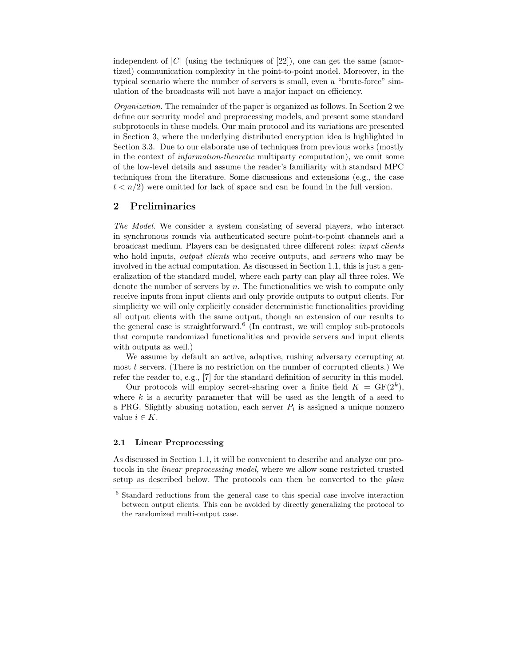independent of  $|C|$  (using the techniques of [22]), one can get the same (amortized) communication complexity in the point-to-point model. Moreover, in the typical scenario where the number of servers is small, even a "brute-force" simulation of the broadcasts will not have a major impact on efficiency.

Organization. The remainder of the paper is organized as follows. In Section 2 we define our security model and preprocessing models, and present some standard subprotocols in these models. Our main protocol and its variations are presented in Section 3, where the underlying distributed encryption idea is highlighted in Section 3.3. Due to our elaborate use of techniques from previous works (mostly in the context of information-theoretic multiparty computation), we omit some of the low-level details and assume the reader's familiarity with standard MPC techniques from the literature. Some discussions and extensions (e.g., the case  $t < n/2$ ) were omitted for lack of space and can be found in the full version.

## 2 Preliminaries

The Model. We consider a system consisting of several players, who interact in synchronous rounds via authenticated secure point-to-point channels and a broadcast medium. Players can be designated three different roles: input clients who hold inputs, *output clients* who receive outputs, and *servers* who may be involved in the actual computation. As discussed in Section 1.1, this is just a generalization of the standard model, where each party can play all three roles. We denote the number of servers by  $n$ . The functionalities we wish to compute only receive inputs from input clients and only provide outputs to output clients. For simplicity we will only explicitly consider deterministic functionalities providing all output clients with the same output, though an extension of our results to the general case is straightforward.<sup>6</sup> (In contrast, we will employ sub-protocols that compute randomized functionalities and provide servers and input clients with outputs as well.)

We assume by default an active, adaptive, rushing adversary corrupting at most t servers. (There is no restriction on the number of corrupted clients.) We refer the reader to, e.g., [7] for the standard definition of security in this model.

Our protocols will employ secret-sharing over a finite field  $K = GF(2^k)$ , where  $k$  is a security parameter that will be used as the length of a seed to a PRG. Slightly abusing notation, each server  $P_i$  is assigned a unique nonzero value  $i \in K$ .

#### 2.1 Linear Preprocessing

As discussed in Section 1.1, it will be convenient to describe and analyze our protocols in the linear preprocessing model, where we allow some restricted trusted setup as described below. The protocols can then be converted to the plain

<sup>6</sup> Standard reductions from the general case to this special case involve interaction between output clients. This can be avoided by directly generalizing the protocol to the randomized multi-output case.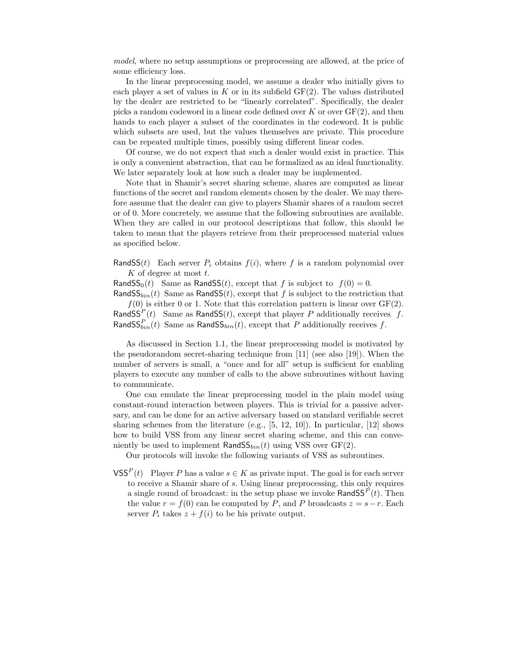model, where no setup assumptions or preprocessing are allowed, at the price of some efficiency loss.

In the linear preprocessing model, we assume a dealer who initially gives to each player a set of values in  $K$  or in its subfield  $GF(2)$ . The values distributed by the dealer are restricted to be "linearly correlated". Specifically, the dealer picks a random codeword in a linear code defined over  $K$  or over  $GF(2)$ , and then hands to each player a subset of the coordinates in the codeword. It is public which subsets are used, but the values themselves are private. This procedure can be repeated multiple times, possibly using different linear codes.

Of course, we do not expect that such a dealer would exist in practice. This is only a convenient abstraction, that can be formalized as an ideal functionality. We later separately look at how such a dealer may be implemented.

Note that in Shamir's secret sharing scheme, shares are computed as linear functions of the secret and random elements chosen by the dealer. We may therefore assume that the dealer can give to players Shamir shares of a random secret or of 0. More concretely, we assume that the following subroutines are available. When they are called in our protocol descriptions that follow, this should be taken to mean that the players retrieve from their preprocessed material values as specified below.

RandSS(t) Each server  $P_i$  obtains  $f(i)$ , where f is a random polynomial over  $K$  of degree at most  $t$ .

RandSS<sub>0</sub>(t) Same as RandSS(t), except that f is subject to  $f(0) = 0$ .

Rand $SS_{bin}(t)$  Same as Rand $SS(t)$ , except that f is subject to the restriction that  $f(0)$  is either 0 or 1. Note that this correlation pattern is linear over  $GF(2)$ . RandSS<sup>P</sup>(t) Same as RandSS(t), except that player P additionally receives f.

RandSS $_{bin}^{P}(t)$  Same as RandSS $_{bin}(t)$ , except that P additionally receives f.

As discussed in Section 1.1, the linear preprocessing model is motivated by the pseudorandom secret-sharing technique from [11] (see also [19]). When the number of servers is small, a "once and for all" setup is sufficient for enabling players to execute any number of calls to the above subroutines without having to communicate.

One can emulate the linear preprocessing model in the plain model using constant-round interaction between players. This is trivial for a passive adversary, and can be done for an active adversary based on standard verifiable secret sharing schemes from the literature (e.g., [5, 12, 10]). In particular, [12] shows how to build VSS from any linear secret sharing scheme, and this can conveniently be used to implement  $\mathsf{RandSS}_{bin}(t)$  using VSS over  $GF(2)$ .

Our protocols will invoke the following variants of VSS as subroutines.

 $VSS<sup>P</sup>(t)$  Player P has a value  $s \in K$  as private input. The goal is for each server to receive a Shamir share of s. Using linear preprocessing, this only requires a single round of broadcast: in the setup phase we invoke  $\mathsf{RandSS}^P(t)$ . Then the value  $r = f(0)$  can be computed by P, and P broadcasts  $z = s - r$ . Each server  $P_i$  takes  $z + f(i)$  to be his private output.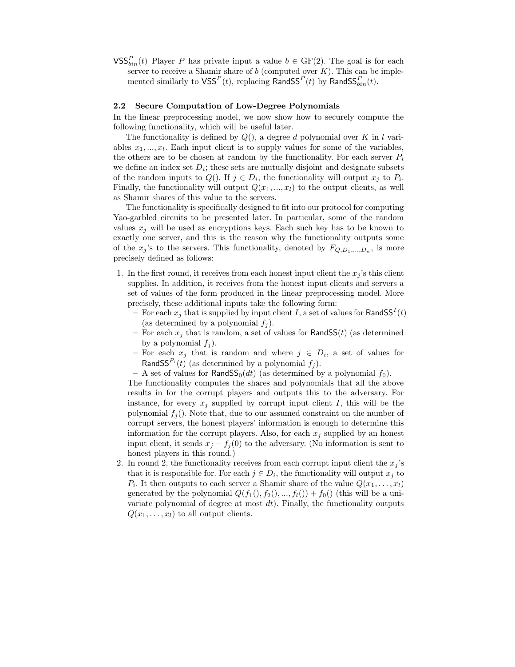$VSS_{bin}^{P}(t)$  Player P has private input a value  $b \in \text{GF}(2)$ . The goal is for each server to receive a Shamir share of  $b$  (computed over  $K$ ). This can be implemented similarly to  $\mathsf{VSS}^P(t)$ , replacing RandSS $^P(t)$  by RandSS $^P_{bin}(t)$ .

#### 2.2 Secure Computation of Low-Degree Polynomials

In the linear preprocessing model, we now show how to securely compute the following functionality, which will be useful later.

The functionality is defined by  $Q()$ , a degree d polynomial over K in l variables  $x_1, \ldots, x_l$ . Each input client is to supply values for some of the variables, the others are to be chosen at random by the functionality. For each server  $P_i$ we define an index set  $D_i$ ; these sets are mutually disjoint and designate subsets of the random inputs to  $Q()$ . If  $j \in D_i$ , the functionality will output  $x_j$  to  $P_i$ . Finally, the functionality will output  $Q(x_1, ..., x_l)$  to the output clients, as well as Shamir shares of this value to the servers.

The functionality is specifically designed to fit into our protocol for computing Yao-garbled circuits to be presented later. In particular, some of the random values  $x_i$  will be used as encryptions keys. Each such key has to be known to exactly one server, and this is the reason why the functionality outputs some of the  $x_j$ 's to the servers. This functionality, denoted by  $F_{Q,D_1,...,D_n}$ , is more precisely defined as follows:

- 1. In the first round, it receives from each honest input client the  $x_j$ 's this client supplies. In addition, it receives from the honest input clients and servers a set of values of the form produced in the linear preprocessing model. More precisely, these additional inputs take the following form:
	- For each  $x_j$  that is supplied by input client I, a set of values for RandSS<sup>I</sup>(t) (as determined by a polynomial  $f_j$ ).
	- For each  $x_j$  that is random, a set of values for  $\text{RandSS}(t)$  (as determined by a polynomial  $f_i$ ).
	- For each  $x_j$  that is random and where  $j \in D_i$ , a set of values for RandSS<sup> $P_i(t)$ </sup> (as determined by a polynomial  $f_j$ ).
	- A set of values for  $\mathsf{RandSS}_0(dt)$  (as determined by a polynomial  $f_0$ ).

The functionality computes the shares and polynomials that all the above results in for the corrupt players and outputs this to the adversary. For instance, for every  $x_i$  supplied by corrupt input client I, this will be the polynomial  $f_i(.)$ . Note that, due to our assumed constraint on the number of corrupt servers, the honest players' information is enough to determine this information for the corrupt players. Also, for each  $x_j$  supplied by an honest input client, it sends  $x_j - f_j(0)$  to the adversary. (No information is sent to honest players in this round.)

2. In round 2, the functionality receives from each corrupt input client the  $x_j$ 's that it is responsible for. For each  $j \in D_i$ , the functionality will output  $x_j$  to  $P_i$ . It then outputs to each server a Shamir share of the value  $Q(x_1, \ldots, x_l)$ generated by the polynomial  $Q(f_1(), f_2(), ..., f_l())+f_0()$  (this will be a univariate polynomial of degree at most  $dt$ ). Finally, the functionality outputs  $Q(x_1, \ldots, x_l)$  to all output clients.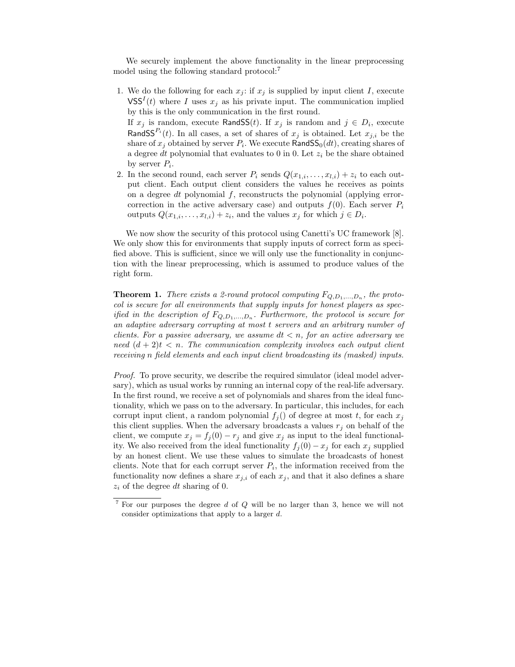We securely implement the above functionality in the linear preprocessing model using the following standard protocol:<sup>7</sup>

- 1. We do the following for each  $x_j$ : if  $x_j$  is supplied by input client I, execute  $VSS<sup>I</sup>(t)$  where I uses  $x_j$  as his private input. The communication implied by this is the only communication in the first round. If  $x_j$  is random, execute RandSS(*t*). If  $x_j$  is random and  $j \in D_i$ , execute RandSS<sup>P<sub>i</sub></sup>(*t*). In all cases, a set of shares of  $x_j$  is obtained. Let  $x_{j,i}$  be the share of  $x_j$  obtained by server  $P_i$ . We execute  $\mathsf{RandSS}_0(dt)$ , creating shares of a degree dt polynomial that evaluates to 0 in 0. Let  $z_i$  be the share obtained by server  $P_i$ .
- 2. In the second round, each server  $P_i$  sends  $Q(x_{1,i},...,x_{l,i}) + z_i$  to each output client. Each output client considers the values he receives as points on a degree dt polynomial  $f$ , reconstructs the polynomial (applying errorcorrection in the active adversary case) and outputs  $f(0)$ . Each server  $P_i$ outputs  $Q(x_{1,i},...,x_{l,i}) + z_i$ , and the values  $x_j$  for which  $j \in D_i$ .

We now show the security of this protocol using Canetti's UC framework [8]. We only show this for environments that supply inputs of correct form as specified above. This is sufficient, since we will only use the functionality in conjunction with the linear preprocessing, which is assumed to produce values of the right form.

**Theorem 1.** There exists a 2-round protocol computing  $F_{Q,D_1,...,D_n}$ , the protocol is secure for all environments that supply inputs for honest players as specified in the description of  $F_{Q,D_1,...,D_n}$ . Furthermore, the protocol is secure for an adaptive adversary corrupting at most t servers and an arbitrary number of clients. For a passive adversary, we assume  $dt < n$ , for an active adversary we need  $(d+2)t < n$ . The communication complexity involves each output client receiving n field elements and each input client broadcasting its (masked) inputs.

*Proof.* To prove security, we describe the required simulator (ideal model adversary), which as usual works by running an internal copy of the real-life adversary. In the first round, we receive a set of polynomials and shares from the ideal functionality, which we pass on to the adversary. In particular, this includes, for each corrupt input client, a random polynomial  $f_i()$  of degree at most t, for each  $x_j$ this client supplies. When the adversary broadcasts a values  $r_j$  on behalf of the client, we compute  $x_j = f_j(0) - r_j$  and give  $x_j$  as input to the ideal functionality. We also received from the ideal functionality  $f_i(0) - x_i$  for each  $x_i$  supplied by an honest client. We use these values to simulate the broadcasts of honest clients. Note that for each corrupt server  $P_i$ , the information received from the functionality now defines a share  $x_{j,i}$  of each  $x_j$ , and that it also defines a share  $z_i$  of the degree dt sharing of 0.

 $7$  For our purposes the degree  $d$  of  $Q$  will be no larger than 3, hence we will not consider optimizations that apply to a larger d.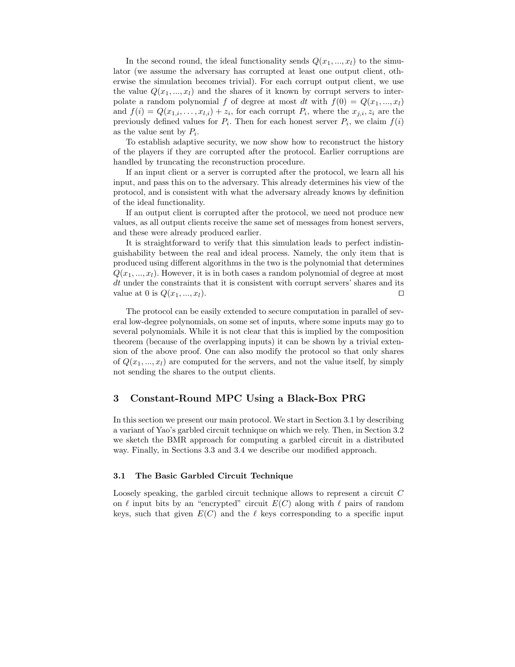In the second round, the ideal functionality sends  $Q(x_1, ..., x_l)$  to the simulator (we assume the adversary has corrupted at least one output client, otherwise the simulation becomes trivial). For each corrupt output client, we use the value  $Q(x_1, ..., x_l)$  and the shares of it known by corrupt servers to interpolate a random polynomial f of degree at most dt with  $f(0) = Q(x_1, ..., x_l)$ and  $f(i) = Q(x_{1,i},...,x_{l,i}) + z_i$ , for each corrupt  $P_i$ , where the  $x_{j,i}, z_i$  are the previously defined values for  $P_i$ . Then for each honest server  $P_i$ , we claim  $f(i)$ as the value sent by  $P_i$ .

To establish adaptive security, we now show how to reconstruct the history of the players if they are corrupted after the protocol. Earlier corruptions are handled by truncating the reconstruction procedure.

If an input client or a server is corrupted after the protocol, we learn all his input, and pass this on to the adversary. This already determines his view of the protocol, and is consistent with what the adversary already knows by definition of the ideal functionality.

If an output client is corrupted after the protocol, we need not produce new values, as all output clients receive the same set of messages from honest servers, and these were already produced earlier.

It is straightforward to verify that this simulation leads to perfect indistinguishability between the real and ideal process. Namely, the only item that is produced using different algorithms in the two is the polynomial that determines  $Q(x_1, ..., x_l)$ . However, it is in both cases a random polynomial of degree at most dt under the constraints that it is consistent with corrupt servers' shares and its value at 0 is  $Q(x_1, ..., x_l)$ .

The protocol can be easily extended to secure computation in parallel of several low-degree polynomials, on some set of inputs, where some inputs may go to several polynomials. While it is not clear that this is implied by the composition theorem (because of the overlapping inputs) it can be shown by a trivial extension of the above proof. One can also modify the protocol so that only shares of  $Q(x_1, ..., x_l)$  are computed for the servers, and not the value itself, by simply not sending the shares to the output clients.

# 3 Constant-Round MPC Using a Black-Box PRG

In this section we present our main protocol. We start in Section 3.1 by describing a variant of Yao's garbled circuit technique on which we rely. Then, in Section 3.2 we sketch the BMR approach for computing a garbled circuit in a distributed way. Finally, in Sections 3.3 and 3.4 we describe our modified approach.

#### 3.1 The Basic Garbled Circuit Technique

Loosely speaking, the garbled circuit technique allows to represent a circuit C on  $\ell$  input bits by an "encrypted" circuit  $E(C)$  along with  $\ell$  pairs of random keys, such that given  $E(C)$  and the  $\ell$  keys corresponding to a specific input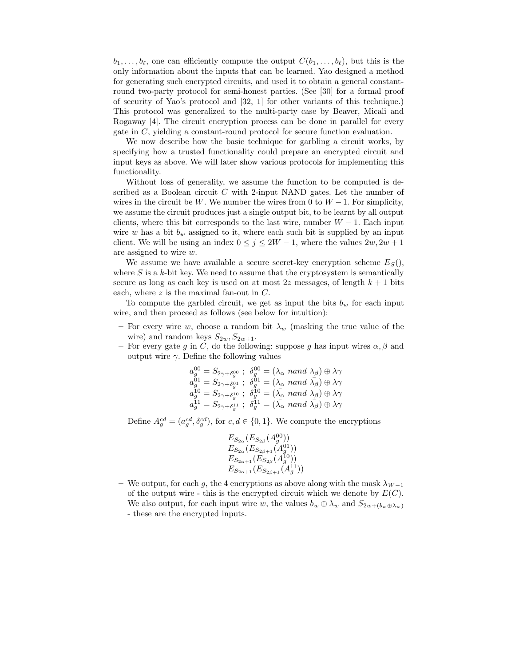$b_1, \ldots, b_\ell$ , one can efficiently compute the output  $C(b_1, \ldots, b_\ell)$ , but this is the only information about the inputs that can be learned. Yao designed a method for generating such encrypted circuits, and used it to obtain a general constantround two-party protocol for semi-honest parties. (See [30] for a formal proof of security of Yao's protocol and [32, 1] for other variants of this technique.) This protocol was generalized to the multi-party case by Beaver, Micali and Rogaway [4]. The circuit encryption process can be done in parallel for every gate in C, yielding a constant-round protocol for secure function evaluation.

We now describe how the basic technique for garbling a circuit works, by specifying how a trusted functionality could prepare an encrypted circuit and input keys as above. We will later show various protocols for implementing this functionality.

Without loss of generality, we assume the function to be computed is described as a Boolean circuit  $C$  with 2-input NAND gates. Let the number of wires in the circuit be W. We number the wires from 0 to  $W - 1$ . For simplicity, we assume the circuit produces just a single output bit, to be learnt by all output clients, where this bit corresponds to the last wire, number  $W - 1$ . Each input wire w has a bit  $b_w$  assigned to it, where each such bit is supplied by an input client. We will be using an index  $0 \le j \le 2W - 1$ , where the values  $2w, 2w + 1$ are assigned to wire w.

We assume we have available a secure secret-key encryption scheme  $E_S()$ , where  $S$  is a  $k$ -bit key. We need to assume that the cryptosystem is semantically secure as long as each key is used on at most  $2z$  messages, of length  $k + 1$  bits each, where  $z$  is the maximal fan-out in  $C$ .

To compute the garbled circuit, we get as input the bits  $b_w$  for each input wire, and then proceed as follows (see below for intuition):

- For every wire w, choose a random bit  $\lambda_w$  (masking the true value of the wire) and random keys  $S_{2w}, S_{2w+1}$ .
- For every gate g in C, do the following: suppose g has input wires  $\alpha, \beta$  and output wire  $\gamma$ . Define the following values

$$
\begin{array}{l} a_g^{00}=S_{2\gamma+\delta_g^{00}}\;;\;\; \delta_g^{00}=(\lambda_\alpha\; \text{{\it n} and}\; \lambda_\beta)\oplus \lambda\gamma\\ a_g^{01}=S_{2\gamma+\delta_g^{01}}\;;\;\; \delta_g^{01}=(\lambda_\alpha\; \text{{\it n} and}\; \bar{\lambda_\beta})\oplus \lambda\gamma\\ a_g^{10}=S_{2\gamma+\delta_g^{10}}\;;\;\; \delta_g^{10}=(\bar{\lambda_\alpha}\; \text{{\it n} and}\; \lambda_\beta)\oplus \lambda\gamma\\ a_g^{11}=S_{2\gamma+\delta_g^{11}}\;;\;\; \delta_g^{11}=(\bar{\lambda_\alpha}\; \text{{\it n} and}\; \bar{\lambda_\beta})\oplus \lambda\gamma \end{array}
$$

Define  $A_g^{cd} = (a_g^{cd}, \delta_g^{cd})$ , for  $c, d \in \{0, 1\}$ . We compute the encryptions

$$
E_{S_{2\alpha}}(E_{S_{2\beta}}(A_g^{00}))
$$
  
\n
$$
E_{S_{2\alpha}}(E_{S_{2\beta+1}}(A_g^{01}))
$$
  
\n
$$
E_{S_{2\alpha+1}}(E_{S_{2\beta}}(A_g^{10}))
$$
  
\n
$$
E_{S_{2\alpha+1}}(E_{S_{2\beta+1}}(A_g^{11}))
$$

– We output, for each g, the 4 encryptions as above along with the mask  $\lambda_{W-1}$ of the output wire - this is the encrypted circuit which we denote by  $E(C)$ . We also output, for each input wire w, the values  $b_w \oplus \lambda_w$  and  $S_{2w+(b_w\oplus \lambda_w)}$ - these are the encrypted inputs.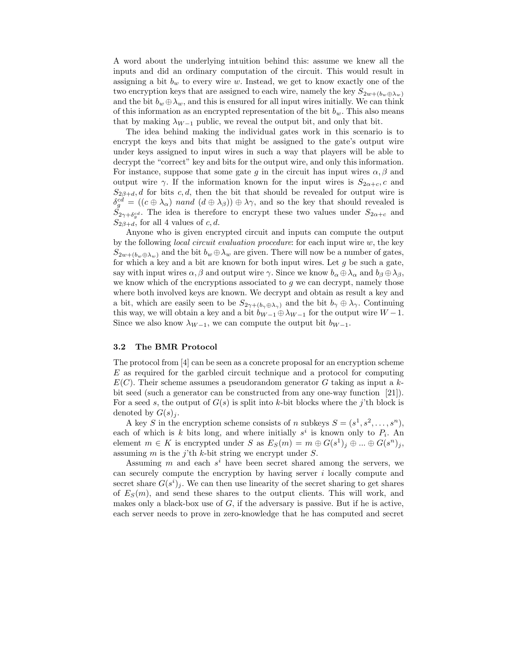A word about the underlying intuition behind this: assume we knew all the inputs and did an ordinary computation of the circuit. This would result in assigning a bit  $b_w$  to every wire w. Instead, we get to know exactly one of the two encryption keys that are assigned to each wire, namely the key  $S_{2w+(b_w\oplus \lambda_w)}$ and the bit  $b_w \oplus \lambda_w$ , and this is ensured for all input wires initially. We can think of this information as an encrypted representation of the bit  $b_w$ . This also means that by making  $\lambda_{W-1}$  public, we reveal the output bit, and only that bit.

The idea behind making the individual gates work in this scenario is to encrypt the keys and bits that might be assigned to the gate's output wire under keys assigned to input wires in such a way that players will be able to decrypt the "correct" key and bits for the output wire, and only this information. For instance, suppose that some gate g in the circuit has input wires  $\alpha, \beta$  and output wire  $\gamma$ . If the information known for the input wires is  $S_{2\alpha+c}, c$  and  $S_{2\beta+d}$ , d for bits c, d, then the bit that should be revealed for output wire is  $\delta_g^{cd} = ((c \oplus \lambda_\alpha) \text{ nand } (d \oplus \lambda_\beta)) \oplus \lambda_\gamma$ , and so the key that should revealed is  $S_{2\gamma+\delta_g^{cd}}$ . The idea is therefore to encrypt these two values under  $S_{2\alpha+c}$  and  $S_{2\beta+d}$ , for all 4 values of c, d.

Anyone who is given encrypted circuit and inputs can compute the output by the following *local circuit evaluation procedure*: for each input wire  $w$ , the key  $S_{2w+(b_w\oplus\lambda_w)}$  and the bit  $b_w\oplus\lambda_w$  are given. There will now be a number of gates, for which a key and a bit are known for both input wires. Let  $g$  be such a gate, say with input wires  $\alpha$ ,  $\beta$  and output wire  $\gamma$ . Since we know  $b_{\alpha} \oplus \lambda_{\alpha}$  and  $b_{\beta} \oplus \lambda_{\beta}$ , we know which of the encryptions associated to  $g$  we can decrypt, namely those where both involved keys are known. We decrypt and obtain as result a key and a bit, which are easily seen to be  $S_{2\gamma+(b_\gamma\oplus\lambda_\gamma)}$  and the bit  $b_\gamma\oplus\lambda_\gamma$ . Continuing this way, we will obtain a key and a bit  $b_{W-1} \oplus \lambda_{W-1}$  for the output wire  $W-1$ . Since we also know  $\lambda_{W-1}$ , we can compute the output bit  $b_{W-1}$ .

### 3.2 The BMR Protocol

The protocol from [4] can be seen as a concrete proposal for an encryption scheme E as required for the garbled circuit technique and a protocol for computing  $E(C)$ . Their scheme assumes a pseudorandom generator G taking as input a kbit seed (such a generator can be constructed from any one-way function [21]). For a seed s, the output of  $G(s)$  is split into k-bit blocks where the j'th block is denoted by  $G(s)_i$ .

A key S in the encryption scheme consists of n subkeys  $S = (s^1, s^2, \dots, s^n)$ , each of which is k bits long, and where initially  $s^i$  is known only to  $P_i$ . An element  $m \in K$  is encrypted under S as  $E_S(m) = m \oplus G(s^1)_j \oplus ... \oplus G(s^n)_j$ , assuming m is the j'th k-bit string we encrypt under  $S$ .

Assuming  $m$  and each  $s^i$  have been secret shared among the servers, we can securely compute the encryption by having server i locally compute and secret share  $G(s^i)_j$ . We can then use linearity of the secret sharing to get shares of  $E<sub>S</sub>(m)$ , and send these shares to the output clients. This will work, and makes only a black-box use of  $G$ , if the adversary is passive. But if he is active, each server needs to prove in zero-knowledge that he has computed and secret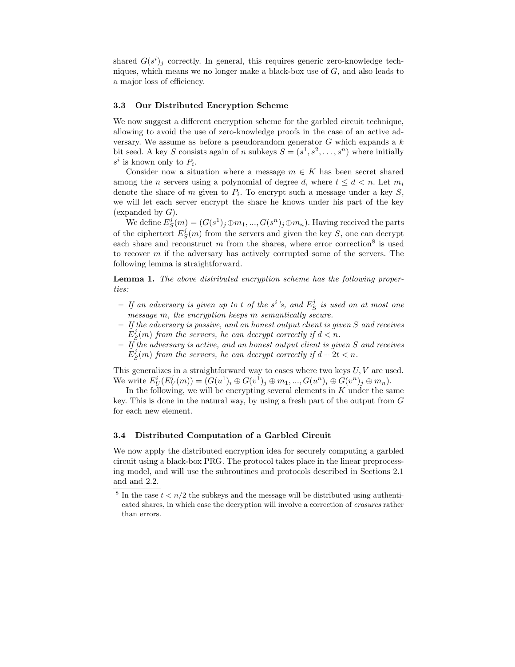shared  $G(s^i)_j$  correctly. In general, this requires generic zero-knowledge techniques, which means we no longer make a black-box use of G, and also leads to a major loss of efficiency.

#### 3.3 Our Distributed Encryption Scheme

We now suggest a different encryption scheme for the garbled circuit technique, allowing to avoid the use of zero-knowledge proofs in the case of an active adversary. We assume as before a pseudorandom generator  $G$  which expands a  $k$ bit seed. A key S consists again of n subkeys  $S = (s^1, s^2, \dots, s^n)$  where initially  $s^i$  is known only to  $P_i$ .

Consider now a situation where a message  $m \in K$  has been secret shared among the *n* servers using a polynomial of degree d, where  $t \leq d < n$ . Let  $m_i$ denote the share of m given to  $P_i$ . To encrypt such a message under a key  $S$ , we will let each server encrypt the share he knows under his part of the key (expanded by  $G$ ).

We define  $E_S^j(m) = (G(s^1)_j \oplus m_1, ..., G(s^n)_j \oplus m_n)$ . Having received the parts of the ciphertext  $E_S^j(m)$  from the servers and given the key S, one can decrypt each share and reconstruct  $m$  from the shares, where error correction<sup>8</sup> is used to recover m if the adversary has actively corrupted some of the servers. The following lemma is straightforward.

Lemma 1. The above distributed encryption scheme has the following properties:

- $-$  If an adversary is given up to t of the s<sup>i</sup>'s, and  $E^j_S$  is used on at most one message m, the encryption keeps m semantically secure.
- $-$  If the adversary is passive, and an honest output client is given  $S$  and receives  $E_S^j(m)$  from the servers, he can decrypt correctly if  $d < n$ .
- If the adversary is active, and an honest output client is given S and receives  $\tilde{E}^j_S(m)$  from the servers, he can decrypt correctly if  $d + 2t < n$ .

This generalizes in a straightforward way to cases where two keys  $U, V$  are used. We write  $E^i_U(E^j_V(m)) = (G(u^1)_i \oplus G(v^1)_j \oplus m_1, ..., G(u^n)_i \oplus G(v^n)_j \oplus m_n)$ .

In the following, we will be encrypting several elements in  $K$  under the same key. This is done in the natural way, by using a fresh part of the output from  $G$ for each new element.

#### 3.4 Distributed Computation of a Garbled Circuit

We now apply the distributed encryption idea for securely computing a garbled circuit using a black-box PRG. The protocol takes place in the linear preprocessing model, and will use the subroutines and protocols described in Sections 2.1 and and 2.2.

<sup>&</sup>lt;sup>8</sup> In the case  $t < n/2$  the subkeys and the message will be distributed using authenticated shares, in which case the decryption will involve a correction of erasures rather than errors.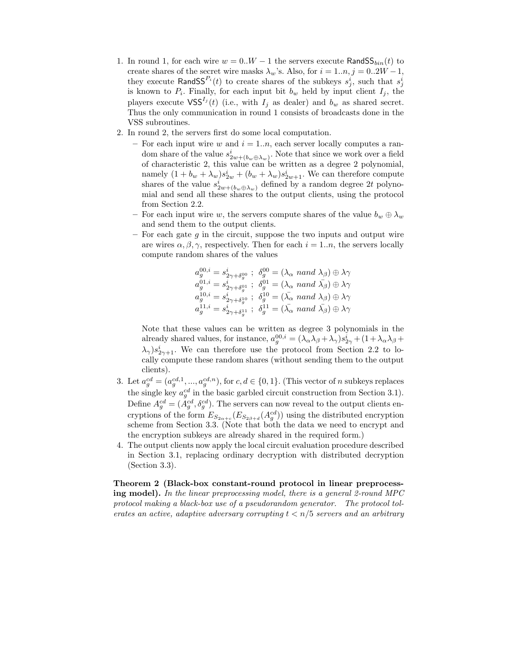- 1. In round 1, for each wire  $w = 0..W 1$  the servers execute RandSS<sub>bin</sub>(t) to create shares of the secret wire masks  $\lambda_w$ 's. Also, for  $i = 1..n, j = 0..2W - 1$ , they execute RandSS<sup>P<sub>i</sub></sup>(t) to create shares of the subkeys  $s_j^i$ , such that  $s_j^i$ is known to  $P_i$ . Finally, for each input bit  $b_w$  held by input client  $I_j$ , the players execute  $VSS^{I_j}(t)$  (i.e., with  $I_j$  as dealer) and  $b_w$  as shared secret. Thus the only communication in round 1 consists of broadcasts done in the VSS subroutines.
- 2. In round 2, the servers first do some local computation.
	- For each input wire w and  $i = 1..n$ , each server locally computes a random share of the value  $s^i_{2w+(b_w\oplus\lambda_w)}$ . Note that since we work over a field of characteristic 2, this value can be written as a degree 2 polynomial, namely  $(1 + b_w + \lambda_w)s_{2w}^i + (b_w + \lambda_w)s_{2w+1}^i$ . We can therefore compute shares of the value  $s_{2w+(b_w\oplus\lambda_w)}^i$  defined by a random degree 2t polynomial and send all these shares to the output clients, using the protocol from Section 2.2.
	- For each input wire w, the servers compute shares of the value  $b_w ⊕ \lambda_w$ and send them to the output clients.
	- $-$  For each gate g in the circuit, suppose the two inputs and output wire are wires  $\alpha, \beta, \gamma$ , respectively. Then for each  $i = 1..n$ , the servers locally compute random shares of the values

$$
\begin{array}{ll}\na_9^{00,i}=s_{2\gamma+\delta_g^{00}}^{i}; & \delta_g^{00}=(\lambda_\alpha\; n and\; \lambda_\beta)\oplus \lambda\gamma\\ \na_9^{01,i}=s_{2\gamma+\delta_g^{01}}^{i}; & \delta_g^{01}=(\lambda_\alpha\; n and\; \bar{\lambda_\beta})\oplus \lambda\gamma\\ \na_9^{10,i}=s_{2\gamma+\delta_g^{10}}^{i}; & \delta_g^{10}=(\bar{\lambda_\alpha}\; n and\; \lambda_\beta)\oplus \lambda\gamma\\ \na_9^{11,i}=s_{2\gamma+\delta_g^{11}}^{i}; & \delta_g^{11}=(\bar{\lambda_\alpha}\; n and\; \bar{\lambda_\beta})\oplus \lambda\gamma\end{array}
$$

Note that these values can be written as degree 3 polynomials in the already shared values, for instance,  $a_g^{00,i} = (\lambda_\alpha \lambda_\beta + \lambda_\gamma) s_{2\gamma}^i + (1 + \lambda_\alpha \lambda_\beta + \lambda_\gamma) s_{3\gamma}^i$  $(\lambda_{\gamma})s_{2\gamma+1}^{i}$ . We can therefore use the protocol from Section 2.2 to locally compute these random shares (without sending them to the output clients).

- 3. Let  $a_g^{cd} = (a_g^{cd,1}, \ldots, a_g^{cd,n})$ , for  $c, d \in \{0, 1\}$ . (This vector of n subkeys replaces the single key  $a_g^{cd}$  in the basic garbled circuit construction from Section 3.1). Define  $A_g^{cd} = (A_g^{cd}, \delta_g^{cd})$ . The servers can now reveal to the output clients encryptions of the form  $E_{S_{2\alpha+c}}(E_{S_{2\beta+d}}(A_g^{cd}))$  using the distributed encryption scheme from Section 3.3. (Note that both the data we need to encrypt and the encryption subkeys are already shared in the required form.)
- 4. The output clients now apply the local circuit evaluation procedure described in Section 3.1, replacing ordinary decryption with distributed decryption (Section 3.3).

Theorem 2 (Black-box constant-round protocol in linear preprocessing model). In the linear preprocessing model, there is a general 2-round MPC protocol making a black-box use of a pseudorandom generator. The protocol tolerates an active, adaptive adversary corrupting  $t < n/5$  servers and an arbitrary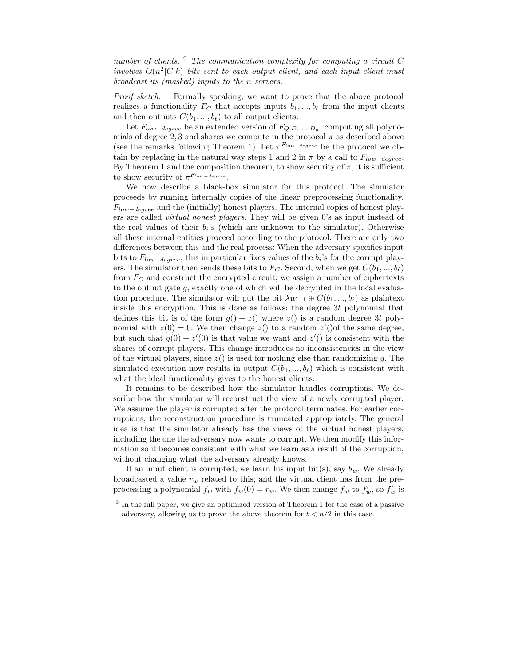number of clients. <sup>9</sup> The communication complexity for computing a circuit  $C$ involves  $O(n^2|C|k)$  bits sent to each output client, and each input client must broadcast its (masked) inputs to the n servers.

Proof sketch: Formally speaking, we want to prove that the above protocol realizes a functionality  $F_C$  that accepts inputs  $b_1, ..., b_\ell$  from the input clients and then outputs  $C(b_1, ..., b_\ell)$  to all output clients.

Let  $F_{low-degree}$  be an extended version of  $F_{Q,D_1,...,D_n}$ , computing all polynomials of degree 2, 3 and shares we compute in the protocol  $\pi$  as described above (see the remarks following Theorem 1). Let  $\pi^{F_{low-degree}}$  be the protocol we obtain by replacing in the natural way steps 1 and 2 in  $\pi$  by a call to  $F_{low-degree}$ . By Theorem 1 and the composition theorem, to show security of  $\pi$ , it is sufficient to show security of  $\pi^{F_{low-degree}}$ .

We now describe a black-box simulator for this protocol. The simulator proceeds by running internally copies of the linear preprocessing functionality,  $F_{low-degree}$  and the (initially) honest players. The internal copies of honest players are called virtual honest players. They will be given 0's as input instead of the real values of their  $b_i$ 's (which are unknown to the simulator). Otherwise all these internal entities proceed according to the protocol. There are only two differences between this and the real process: When the adversary specifies input bits to  $F_{low-degree}$ , this in particular fixes values of the  $b_i$ 's for the corrupt players. The simulator then sends these bits to  $F_C$ . Second, when we get  $C(b_1, ..., b_\ell)$ from  $F_C$  and construct the encrypted circuit, we assign a number of ciphertexts to the output gate  $g$ , exactly one of which will be decrypted in the local evaluation procedure. The simulator will put the bit  $\lambda_{W-1} \oplus C(b_1, ..., b_\ell)$  as plaintext inside this encryption. This is done as follows: the degree 3t polynomial that defines this bit is of the form  $g() + z()$  where  $z()$  is a random degree 3t polynomial with  $z(0) = 0$ . We then change  $z($ ) to a random  $z'($ of the same degree, but such that  $g(0) + z'(0)$  is that value we want and  $z'(0)$  is consistent with the shares of corrupt players. This change introduces no inconsistencies in the view of the virtual players, since  $z()$  is used for nothing else than randomizing g. The simulated execution now results in output  $C(b_1, ..., b_\ell)$  which is consistent with what the ideal functionality gives to the honest clients.

It remains to be described how the simulator handles corruptions. We describe how the simulator will reconstruct the view of a newly corrupted player. We assume the player is corrupted after the protocol terminates. For earlier corruptions, the reconstruction procedure is truncated appropriately. The general idea is that the simulator already has the views of the virtual honest players, including the one the adversary now wants to corrupt. We then modify this information so it becomes consistent with what we learn as a result of the corruption, without changing what the adversary already knows.

If an input client is corrupted, we learn his input bit(s), say  $b_w$ . We already broadcasted a value  $r_w$  related to this, and the virtual client has from the preprocessing a polynomial  $f_w$  with  $f_w(0) = r_w$ . We then change  $f_w$  to  $f'_w$ , so  $f'_w$  is

<sup>&</sup>lt;sup>9</sup> In the full paper, we give an optimized version of Theorem 1 for the case of a passive adversary, allowing us to prove the above theorem for  $t < n/2$  in this case.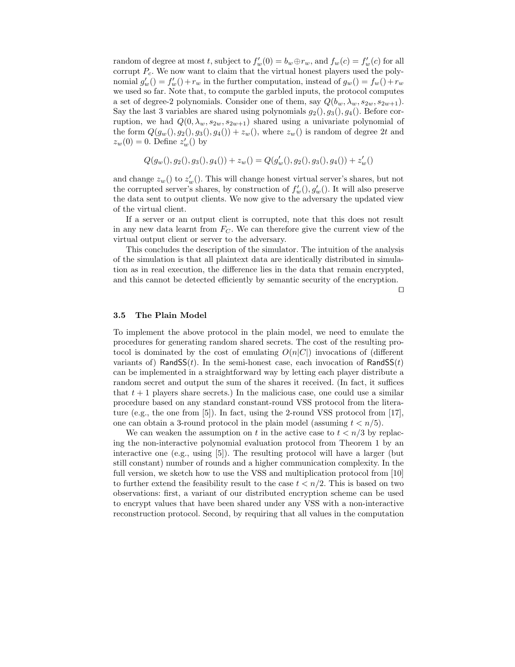random of degree at most t, subject to  $f_w'(0) = b_w \oplus r_w$ , and  $f_w(c) = f_w'(c)$  for all corrupt  $P_c$ . We now want to claim that the virtual honest players used the polynomial  $g'_w() = f'_w() + r_w$  in the further computation, instead of  $g_w() = f_w() + r_w$ we used so far. Note that, to compute the garbled inputs, the protocol computes a set of degree-2 polynomials. Consider one of them, say  $Q(b_w, \lambda_w, s_{2w}, s_{2w+1})$ . Say the last 3 variables are shared using polynomials  $g_2(), g_3(), g_4()$ . Before corruption, we had  $Q(0, \lambda_w, s_{2w}, s_{2w+1})$  shared using a univariate polynomial of the form  $Q(g_w(), g_2(), g_3(), g_4()) + z_w()$ , where  $z_w()$  is random of degree 2t and  $z_w(0) = 0$ . Define  $z'_w()$  by

$$
Q(g_w(),g_2(),g_3(),g_4()) + z_w() = Q(g_w'(),g_2(),g_3(),g_4()) + z_w'()
$$

and change  $z_w()$  to  $z'_w()$ . This will change honest virtual server's shares, but not the corrupted server's shares, by construction of  $f'_w(), g'_w()$ . It will also preserve the data sent to output clients. We now give to the adversary the updated view of the virtual client.

If a server or an output client is corrupted, note that this does not result in any new data learnt from  $F_C$ . We can therefore give the current view of the virtual output client or server to the adversary.

This concludes the description of the simulator. The intuition of the analysis of the simulation is that all plaintext data are identically distributed in simulation as in real execution, the difference lies in the data that remain encrypted, and this cannot be detected efficiently by semantic security of the encryption.

 $\Box$ 

#### 3.5 The Plain Model

To implement the above protocol in the plain model, we need to emulate the procedures for generating random shared secrets. The cost of the resulting protocol is dominated by the cost of emulating  $O(n|C|)$  invocations of (different variants of) Rand $SS(t)$ . In the semi-honest case, each invocation of Rand $SS(t)$ can be implemented in a straightforward way by letting each player distribute a random secret and output the sum of the shares it received. (In fact, it suffices that  $t + 1$  players share secrets.) In the malicious case, one could use a similar procedure based on any standard constant-round VSS protocol from the literature (e.g., the one from  $[5]$ ). In fact, using the 2-round VSS protocol from  $[17]$ , one can obtain a 3-round protocol in the plain model (assuming  $t < n/5$ ).

We can weaken the assumption on t in the active case to  $t < n/3$  by replacing the non-interactive polynomial evaluation protocol from Theorem 1 by an interactive one (e.g., using [5]). The resulting protocol will have a larger (but still constant) number of rounds and a higher communication complexity. In the full version, we sketch how to use the VSS and multiplication protocol from [10] to further extend the feasibility result to the case  $t < n/2$ . This is based on two observations: first, a variant of our distributed encryption scheme can be used to encrypt values that have been shared under any VSS with a non-interactive reconstruction protocol. Second, by requiring that all values in the computation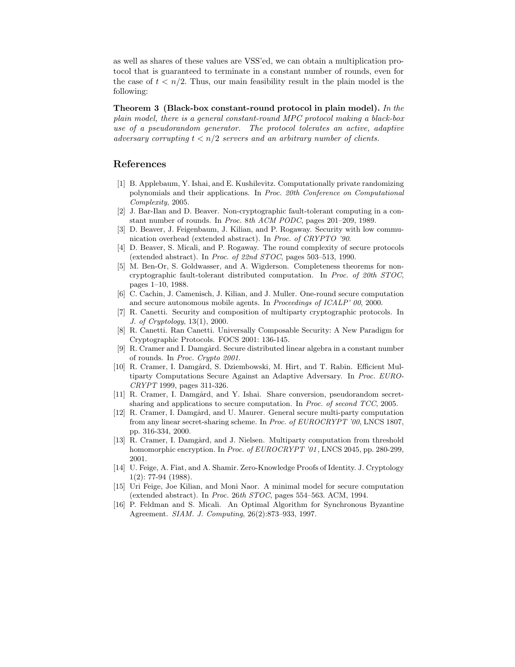as well as shares of these values are VSS'ed, we can obtain a multiplication protocol that is guaranteed to terminate in a constant number of rounds, even for the case of  $t < n/2$ . Thus, our main feasibility result in the plain model is the following:

Theorem 3 (Black-box constant-round protocol in plain model). In the plain model, there is a general constant-round MPC protocol making a black-box use of a pseudorandom generator. The protocol tolerates an active, adaptive adversary corrupting  $t < n/2$  servers and an arbitrary number of clients.

## References

- [1] B. Applebaum, Y. Ishai, and E. Kushilevitz. Computationally private randomizing polynomials and their applications. In Proc. 20th Conference on Computational Complexity, 2005.
- [2] J. Bar-Ilan and D. Beaver. Non-cryptographic fault-tolerant computing in a constant number of rounds. In Proc. 8th ACM PODC, pages 201–209, 1989.
- [3] D. Beaver, J. Feigenbaum, J. Kilian, and P. Rogaway. Security with low communication overhead (extended abstract). In Proc. of CRYPTO '90.
- [4] D. Beaver, S. Micali, and P. Rogaway. The round complexity of secure protocols (extended abstract). In *Proc. of 22nd STOC*, pages  $503-513$ , 1990.
- [5] M. Ben-Or, S. Goldwasser, and A. Wigderson. Completeness theorems for noncryptographic fault-tolerant distributed computation. In Proc. of 20th STOC, pages 1–10, 1988.
- [6] C. Cachin, J. Camenisch, J. Kilian, and J. Muller. One-round secure computation and secure autonomous mobile agents. In Proceedings of ICALP' 00, 2000.
- [7] R. Canetti. Security and composition of multiparty cryptographic protocols. In J. of Cryptology, 13(1), 2000.
- [8] R. Canetti. Ran Canetti. Universally Composable Security: A New Paradigm for Cryptographic Protocols. FOCS 2001: 136-145.
- [9] R. Cramer and I. Damgård. Secure distributed linear algebra in a constant number of rounds. In Proc. Crypto 2001.
- [10] R. Cramer, I. Damgård, S. Dziembowski, M. Hirt, and T. Rabin. Efficient Multiparty Computations Secure Against an Adaptive Adversary. In Proc. EURO-CRYPT 1999, pages 311-326.
- [11] R. Cramer, I. Damgård, and Y. Ishai. Share conversion, pseudorandom secretsharing and applications to secure computation. In *Proc. of second TCC*, 2005.
- [12] R. Cramer, I. Damgård, and U. Maurer. General secure multi-party computation from any linear secret-sharing scheme. In Proc. of EUROCRYPT '00, LNCS 1807, pp. 316-334, 2000.
- [13] R. Cramer, I. Damgård, and J. Nielsen. Multiparty computation from threshold homomorphic encryption. In Proc. of EUROCRYPT '01, LNCS 2045, pp. 280-299, 2001.
- [14] U. Feige, A. Fiat, and A. Shamir. Zero-Knowledge Proofs of Identity. J. Cryptology  $1(2)$ : 77-94 (1988).
- [15] Uri Feige, Joe Kilian, and Moni Naor. A minimal model for secure computation (extended abstract). In Proc. 26th STOC, pages 554–563. ACM, 1994.
- [16] P. Feldman and S. Micali. An Optimal Algorithm for Synchronous Byzantine Agreement. SIAM. J. Computing, 26(2):873–933, 1997.